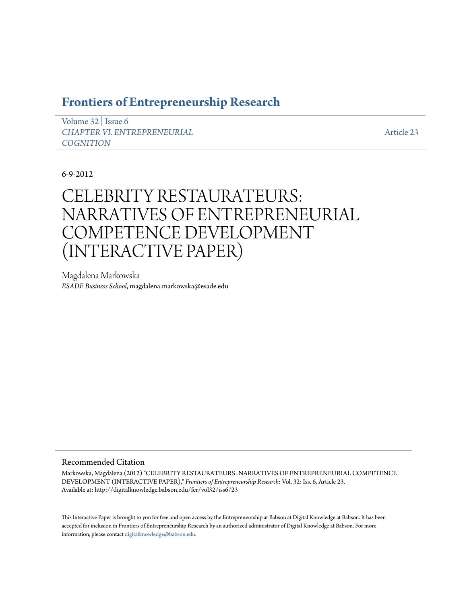# **[Frontiers of Entrepreneurship Research](http://digitalknowledge.babson.edu/fer)**

[Volume 32](http://digitalknowledge.babson.edu/fer/vol32) | [Issue 6](http://digitalknowledge.babson.edu/fer/vol32/iss6) *[CHAPTER VI. ENTREPRENEURIAL](http://digitalknowledge.babson.edu/fer/vol32/iss6) [COGNITION](http://digitalknowledge.babson.edu/fer/vol32/iss6)*

[Article 23](http://digitalknowledge.babson.edu/fer/vol32/iss6/23)

6-9-2012

# CELEBRITY RESTAURATEURS: NARRATIVES OF ENTREPRENEURIAL COMPETENCE DEVELOPMENT (INTERACTIVE PAPER)

Magdalena Markowska *ESADE Business School*, magdalena.markowska@esade.edu

# Recommended Citation

Markowska, Magdalena (2012) "CELEBRITY RESTAURATEURS: NARRATIVES OF ENTREPRENEURIAL COMPETENCE DEVELOPMENT (INTERACTIVE PAPER)," *Frontiers of Entrepreneurship Research*: Vol. 32: Iss. 6, Article 23. Available at: http://digitalknowledge.babson.edu/fer/vol32/iss6/23

This Interactive Paper is brought to you for free and open access by the Entrepreneurship at Babson at Digital Knowledge at Babson. It has been accepted for inclusion in Frontiers of Entrepreneurship Research by an authorized administrator of Digital Knowledge at Babson. For more information, please contact [digitalknowledge@babson.edu.](mailto:digitalknowledge@babson.edu)